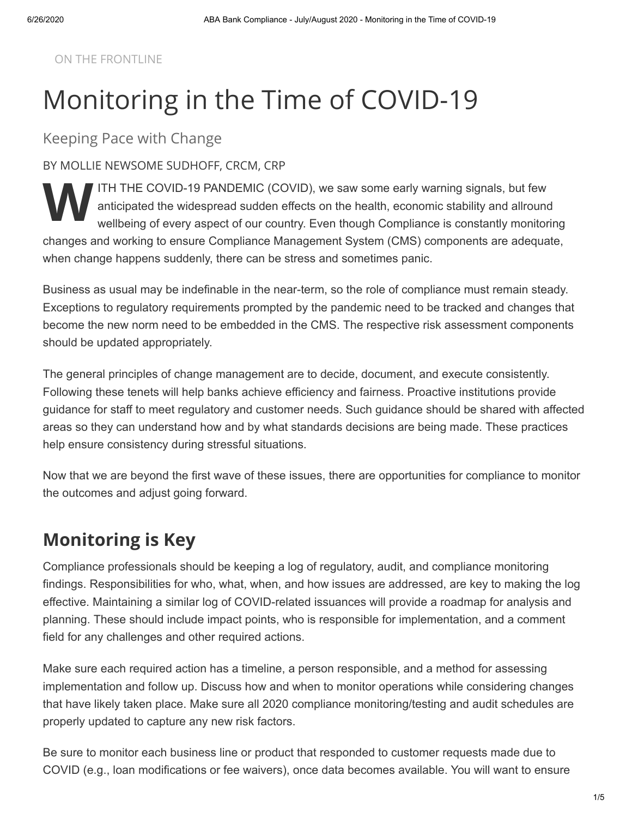#### ON THE FRONTLINE

# Monitoring in the Time of COVID-19

Keeping Pace with Change

#### BY MOLLIE NEWSOME SUDHOFF, CRCM, CRP

**W** antici ITH THE COVID-19 PANDEMIC (COVID), we saw some early warning signals, but few anticipated the widespread sudden effects on the health, economic stability and allround wellbeing of every aspect of our country. Even though Compliance is constantly monitoring changes and working to ensure Compliance Management System (CMS) components are adequate, when change happens suddenly, there can be stress and sometimes panic.

Business as usual may be indefinable in the near-term, so the role of compliance must remain steady. Exceptions to regulatory requirements prompted by the pandemic need to be tracked and changes that become the new norm need to be embedded in the CMS. The respective risk assessment components should be updated appropriately.

The general principles of change management are to decide, document, and execute consistently. Following these tenets will help banks achieve efficiency and fairness. Proactive institutions provide guidance for staff to meet regulatory and customer needs. Such guidance should be shared with affected areas so they can understand how and by what standards decisions are being made. These practices help ensure consistency during stressful situations.

Now that we are beyond the first wave of these issues, there are opportunities for compliance to monitor the outcomes and adjust going forward.

#### **Monitoring is Key**

Compliance professionals should be keeping a log of regulatory, audit, and compliance monitoring findings. Responsibilities for who, what, when, and how issues are addressed, are key to making the log effective. Maintaining a similar log of COVID-related issuances will provide a roadmap for analysis and planning. These should include impact points, who is responsible for implementation, and a comment field for any challenges and other required actions.

Make sure each required action has a timeline, a person responsible, and a method for assessing implementation and follow up. Discuss how and when to monitor operations while considering changes that have likely taken place. Make sure all 2020 compliance monitoring/testing and audit schedules are properly updated to capture any new risk factors.

Be sure to monitor each business line or product that responded to customer requests made due to COVID (e.g., loan modifications or fee waivers), once data becomes available. You will want to ensure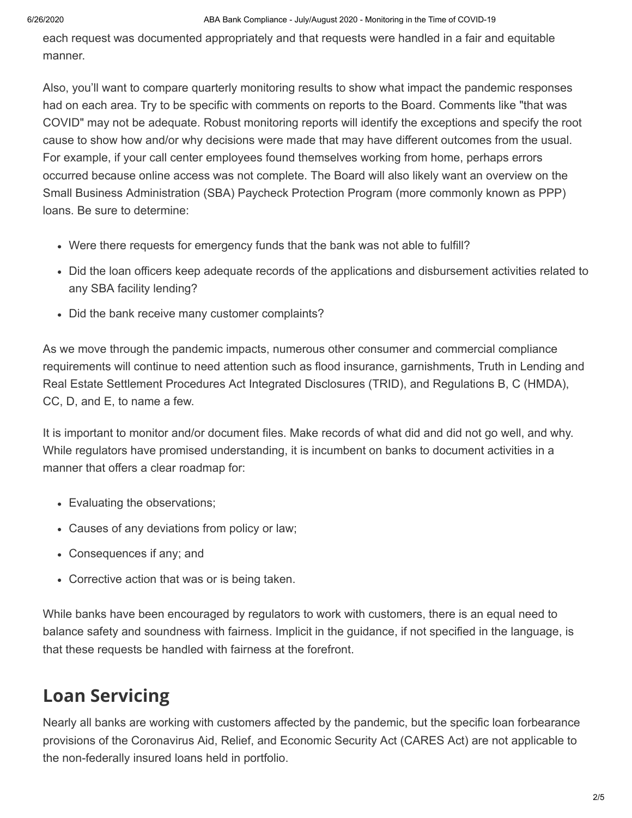each request was documented appropriately and that requests were handled in a fair and equitable manner.

Also, you'll want to compare quarterly monitoring results to show what impact the pandemic responses had on each area. Try to be specific with comments on reports to the Board. Comments like "that was COVID" may not be adequate. Robust monitoring reports will identify the exceptions and specify the root cause to show how and/or why decisions were made that may have different outcomes from the usual. For example, if your call center employees found themselves working from home, perhaps errors occurred because online access was not complete. The Board will also likely want an overview on the Small Business Administration (SBA) Paycheck Protection Program (more commonly known as PPP) loans. Be sure to determine:

- Were there requests for emergency funds that the bank was not able to fulfill?
- Did the loan officers keep adequate records of the applications and disbursement activities related to any SBA facility lending?
- Did the bank receive many customer complaints?

As we move through the pandemic impacts, numerous other consumer and commercial compliance requirements will continue to need attention such as flood insurance, garnishments, Truth in Lending and Real Estate Settlement Procedures Act Integrated Disclosures (TRID), and Regulations B, C (HMDA), CC, D, and E, to name a few.

It is important to monitor and/or document files. Make records of what did and did not go well, and why. While regulators have promised understanding, it is incumbent on banks to document activities in a manner that offers a clear roadmap for:

- Evaluating the observations;
- Causes of any deviations from policy or law;
- Consequences if any; and
- Corrective action that was or is being taken.

While banks have been encouraged by regulators to work with customers, there is an equal need to balance safety and soundness with fairness. Implicit in the guidance, if not specified in the language, is that these requests be handled with fairness at the forefront.

# **Loan Servicing**

Nearly all banks are working with customers affected by the pandemic, but the specific loan forbearance provisions of the Coronavirus Aid, Relief, and Economic Security Act (CARES Act) are not applicable to the non-federally insured loans held in portfolio.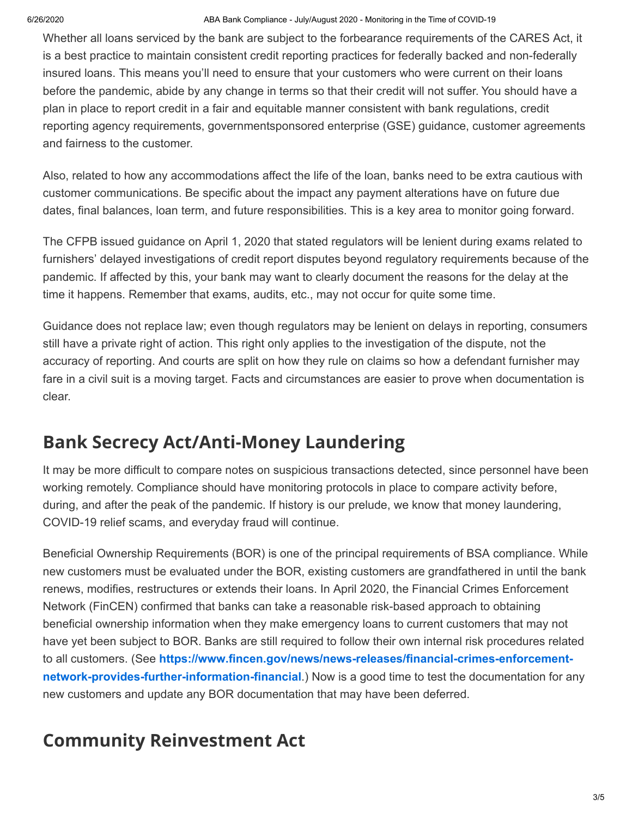#### 6/26/2020 ABA Bank Compliance - July/August 2020 - Monitoring in the Time of COVID-19

Whether all loans serviced by the bank are subject to the forbearance requirements of the CARES Act, it is a best practice to maintain consistent credit reporting practices for federally backed and non-federally insured loans. This means you'll need to ensure that your customers who were current on their loans before the pandemic, abide by any change in terms so that their credit will not suffer. You should have a plan in place to report credit in a fair and equitable manner consistent with bank regulations, credit reporting agency requirements, governmentsponsored enterprise (GSE) guidance, customer agreements and fairness to the customer.

Also, related to how any accommodations affect the life of the loan, banks need to be extra cautious with customer communications. Be specific about the impact any payment alterations have on future due dates, final balances, loan term, and future responsibilities. This is a key area to monitor going forward.

The CFPB issued guidance on April 1, 2020 that stated regulators will be lenient during exams related to furnishers' delayed investigations of credit report disputes beyond regulatory requirements because of the pandemic. If affected by this, your bank may want to clearly document the reasons for the delay at the time it happens. Remember that exams, audits, etc., may not occur for quite some time.

Guidance does not replace law; even though regulators may be lenient on delays in reporting, consumers still have a private right of action. This right only applies to the investigation of the dispute, not the accuracy of reporting. And courts are split on how they rule on claims so how a defendant furnisher may fare in a civil suit is a moving target. Facts and circumstances are easier to prove when documentation is clear.

#### **Bank Secrecy Act/Anti-Money Laundering**

It may be more difficult to compare notes on suspicious transactions detected, since personnel have been working remotely. Compliance should have monitoring protocols in place to compare activity before, during, and after the peak of the pandemic. If history is our prelude, we know that money laundering, COVID-19 relief scams, and everyday fraud will continue.

Beneficial Ownership Requirements (BOR) is one of the principal requirements of BSA compliance. While new customers must be evaluated under the BOR, existing customers are grandfathered in until the bank renews, modifies, restructures or extends their loans. In April 2020, the Financial Crimes Enforcement Network (FinCEN) confirmed that banks can take a reasonable risk-based approach to obtaining beneficial ownership information when they make emergency loans to current customers that may not have yet been subject to BOR. Banks are still required to follow their own internal risk procedures related to all customers. (See **[https://www.fincen.gov/news/news-releases/financial-crimes-enforcement](https://www.fincen.gov/news/news-releases/financial-crimes-enforcement-network-provides-further-information-financial)network-[provides-further-information-financial](https://www.fincen.gov/news/news-releases/financial-crimes-enforcement-network-provides-further-information-financial)**.) Now is a good time to test the documentation for any new customers and update any BOR documentation that may have been deferred.

## **Community Reinvestment Act**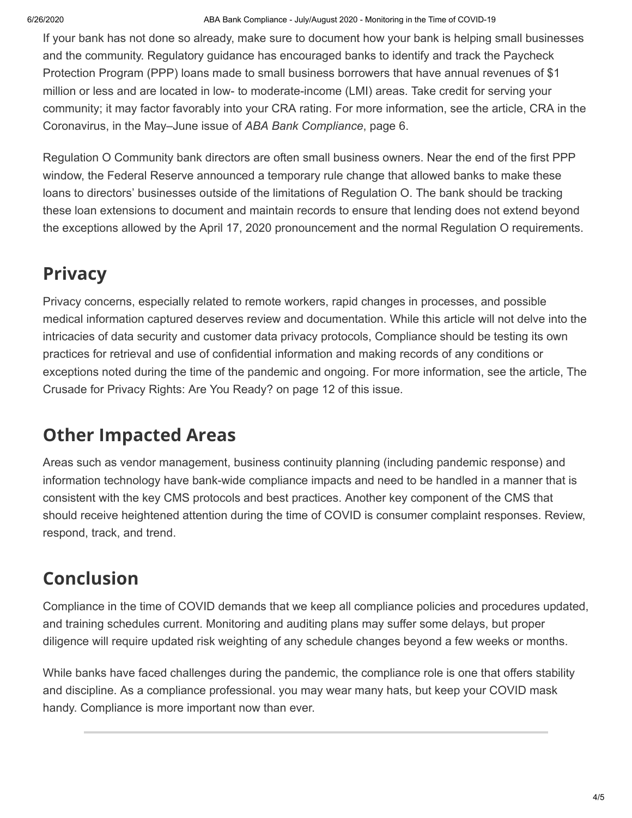#### 6/26/2020 ABA Bank Compliance - July/August 2020 - Monitoring in the Time of COVID-19

If your bank has not done so already, make sure to document how your bank is helping small businesses and the community. Regulatory guidance has encouraged banks to identify and track the Paycheck Protection Program (PPP) loans made to small business borrowers that have annual revenues of \$1 million or less and are located in low- to moderate-income (LMI) areas. Take credit for serving your community; it may factor favorably into your CRA rating. For more information, see the article, CRA in the Coronavirus, in the May–June issue of *ABA Bank Compliance*, page 6.

Regulation O Community bank directors are often small business owners. Near the end of the first PPP window, the Federal Reserve announced a temporary rule change that allowed banks to make these loans to directors' businesses outside of the limitations of Regulation O. The bank should be tracking these loan extensions to document and maintain records to ensure that lending does not extend beyond the exceptions allowed by the April 17, 2020 pronouncement and the normal Regulation O requirements.

### **Privacy**

Privacy concerns, especially related to remote workers, rapid changes in processes, and possible medical information captured deserves review and documentation. While this article will not delve into the intricacies of data security and customer data privacy protocols, Compliance should be testing its own practices for retrieval and use of confidential information and making records of any conditions or exceptions noted during the time of the pandemic and ongoing. For more information, see the article, The Crusade for Privacy Rights: Are You Ready? on page 12 of this issue.

#### **Other Impacted Areas**

Areas such as vendor management, business continuity planning (including pandemic response) and information technology have bank-wide compliance impacts and need to be handled in a manner that is consistent with the key CMS protocols and best practices. Another key component of the CMS that should receive heightened attention during the time of COVID is consumer complaint responses. Review, respond, track, and trend.

## **Conclusion**

Compliance in the time of COVID demands that we keep all compliance policies and procedures updated, and training schedules current. Monitoring and auditing plans may suffer some delays, but proper diligence will require updated risk weighting of any schedule changes beyond a few weeks or months.

While banks have faced challenges during the pandemic, the compliance role is one that offers stability and discipline. As a compliance professional. you may wear many hats, but keep your COVID mask handy. Compliance is more important now than ever.